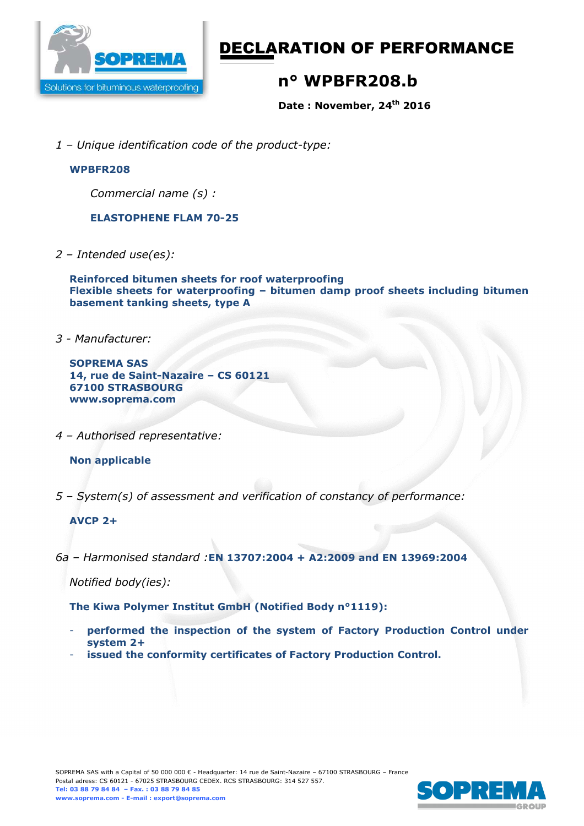

# DECLARATION OF PERFORMANCE

# **n° WPBFR208.b**

**Date : November, 24th 2016** 

*1 – Unique identification code of the product-type:*

#### **WPBFR208**

*Commercial name (s) :* 

#### **ELASTOPHENE FLAM 70-25**

*2 – Intended use(es):* 

**Reinforced bitumen sheets for roof waterproofing Flexible sheets for waterproofing – bitumen damp proof sheets including bitumen basement tanking sheets, type A** 

*3 - Manufacturer:* 

**SOPREMA SAS 14, rue de Saint-Nazaire – CS 60121 67100 STRASBOURG www.soprema.com** 

*4 – Authorised representative:* 

### **Non applicable**

*5 – System(s) of assessment and verification of constancy of performance:* 

#### **AVCP 2+**

*6a – Harmonised standard :***EN 13707:2004 + A2:2009 and EN 13969:2004**

*Notified body(ies):* 

**The Kiwa Polymer Institut GmbH (Notified Body n°1119):** 

- **performed the inspection of the system of Factory Production Control under system 2+**
- issued the conformity certificates of Factory Production Control.